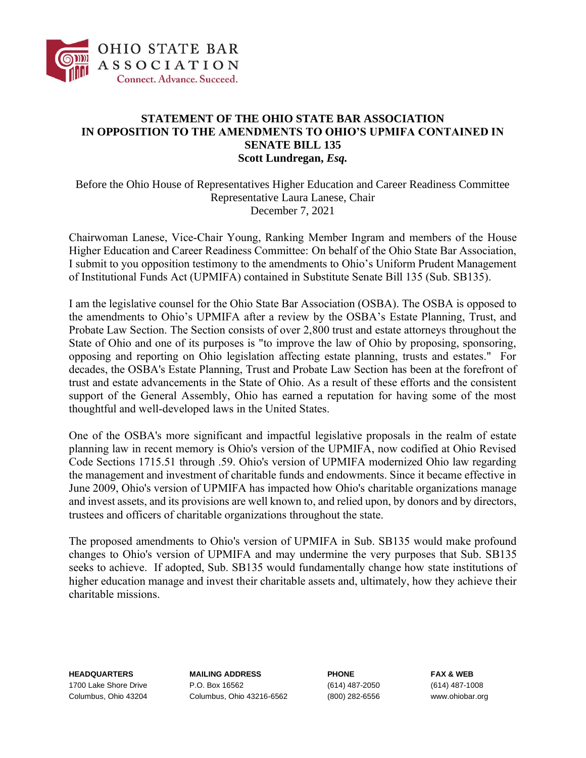

## **STATEMENT OF THE OHIO STATE BAR ASSOCIATION IN OPPOSITION TO THE AMENDMENTS TO OHIO'S UPMIFA CONTAINED IN SENATE BILL 135 Scott Lundregan,** *Esq.*

Before the Ohio House of Representatives Higher Education and Career Readiness Committee Representative Laura Lanese, Chair December 7, 2021

Chairwoman Lanese, Vice-Chair Young, Ranking Member Ingram and members of the House Higher Education and Career Readiness Committee: On behalf of the Ohio State Bar Association, I submit to you opposition testimony to the amendments to Ohio's Uniform Prudent Management of Institutional Funds Act (UPMIFA) contained in Substitute Senate Bill 135 (Sub. SB135).

I am the legislative counsel for the Ohio State Bar Association (OSBA). The OSBA is opposed to the amendments to Ohio's UPMIFA after a review by the OSBA's Estate Planning, Trust, and Probate Law Section. The Section consists of over 2,800 trust and estate attorneys throughout the State of Ohio and one of its purposes is "to improve the law of Ohio by proposing, sponsoring, opposing and reporting on Ohio legislation affecting estate planning, trusts and estates." For decades, the OSBA's Estate Planning, Trust and Probate Law Section has been at the forefront of trust and estate advancements in the State of Ohio. As a result of these efforts and the consistent support of the General Assembly, Ohio has earned a reputation for having some of the most thoughtful and well-developed laws in the United States.

One of the OSBA's more significant and impactful legislative proposals in the realm of estate planning law in recent memory is Ohio's version of the UPMIFA, now codified at Ohio Revised Code Sections 1715.51 through .59. Ohio's version of UPMIFA modernized Ohio law regarding the management and investment of charitable funds and endowments. Since it became effective in June 2009, Ohio's version of UPMIFA has impacted how Ohio's charitable organizations manage and invest assets, and its provisions are well known to, and relied upon, by donors and by directors, trustees and officers of charitable organizations throughout the state.

The proposed amendments to Ohio's version of UPMIFA in Sub. SB135 would make profound changes to Ohio's version of UPMIFA and may undermine the very purposes that Sub. SB135 seeks to achieve. If adopted, Sub. SB135 would fundamentally change how state institutions of higher education manage and invest their charitable assets and, ultimately, how they achieve their charitable missions.

**HEADQUARTERS MAILING ADDRESS PHONE FAX & WEB** 1700 Lake Shore Drive P.O. Box 16562 (614) 487-2050 (614) 487-1008 Columbus, Ohio 43204 Columbus, Ohio 43216-6562 (800) 282-6556 www.ohiobar.org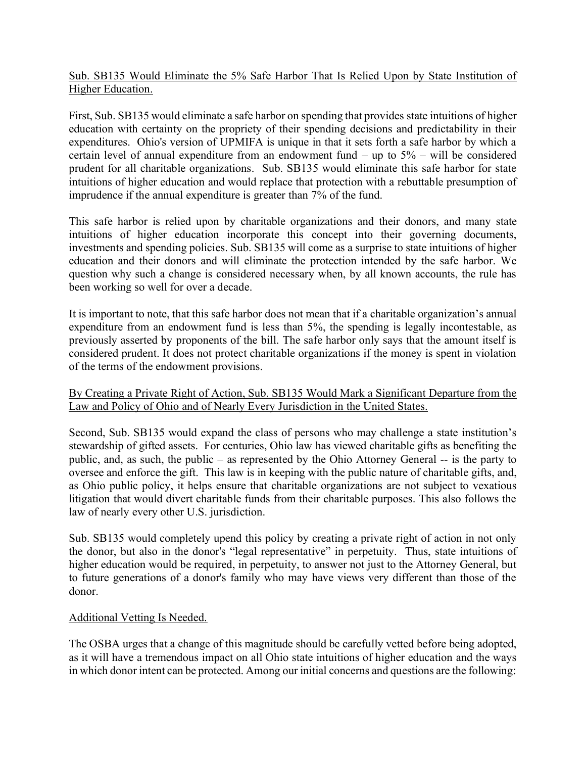Sub. SB135 Would Eliminate the 5% Safe Harbor That Is Relied Upon by State Institution of Higher Education.

First, Sub. SB135 would eliminate a safe harbor on spending that provides state intuitions of higher education with certainty on the propriety of their spending decisions and predictability in their expenditures. Ohio's version of UPMIFA is unique in that it sets forth a safe harbor by which a certain level of annual expenditure from an endowment fund – up to  $5\%$  – will be considered prudent for all charitable organizations. Sub. SB135 would eliminate this safe harbor for state intuitions of higher education and would replace that protection with a rebuttable presumption of imprudence if the annual expenditure is greater than 7% of the fund.

This safe harbor is relied upon by charitable organizations and their donors, and many state intuitions of higher education incorporate this concept into their governing documents, investments and spending policies. Sub. SB135 will come as a surprise to state intuitions of higher education and their donors and will eliminate the protection intended by the safe harbor. We question why such a change is considered necessary when, by all known accounts, the rule has been working so well for over a decade.

It is important to note, that this safe harbor does not mean that if a charitable organization's annual expenditure from an endowment fund is less than 5%, the spending is legally incontestable, as previously asserted by proponents of the bill. The safe harbor only says that the amount itself is considered prudent. It does not protect charitable organizations if the money is spent in violation of the terms of the endowment provisions.

## By Creating a Private Right of Action, Sub. SB135 Would Mark a Significant Departure from the Law and Policy of Ohio and of Nearly Every Jurisdiction in the United States.

Second, Sub. SB135 would expand the class of persons who may challenge a state institution's stewardship of gifted assets. For centuries, Ohio law has viewed charitable gifts as benefiting the public, and, as such, the public – as represented by the Ohio Attorney General -- is the party to oversee and enforce the gift. This law is in keeping with the public nature of charitable gifts, and, as Ohio public policy, it helps ensure that charitable organizations are not subject to vexatious litigation that would divert charitable funds from their charitable purposes. This also follows the law of nearly every other U.S. jurisdiction.

Sub. SB135 would completely upend this policy by creating a private right of action in not only the donor, but also in the donor's "legal representative" in perpetuity. Thus, state intuitions of higher education would be required, in perpetuity, to answer not just to the Attorney General, but to future generations of a donor's family who may have views very different than those of the donor.

## Additional Vetting Is Needed.

The OSBA urges that a change of this magnitude should be carefully vetted before being adopted, as it will have a tremendous impact on all Ohio state intuitions of higher education and the ways in which donor intent can be protected. Among our initial concerns and questions are the following: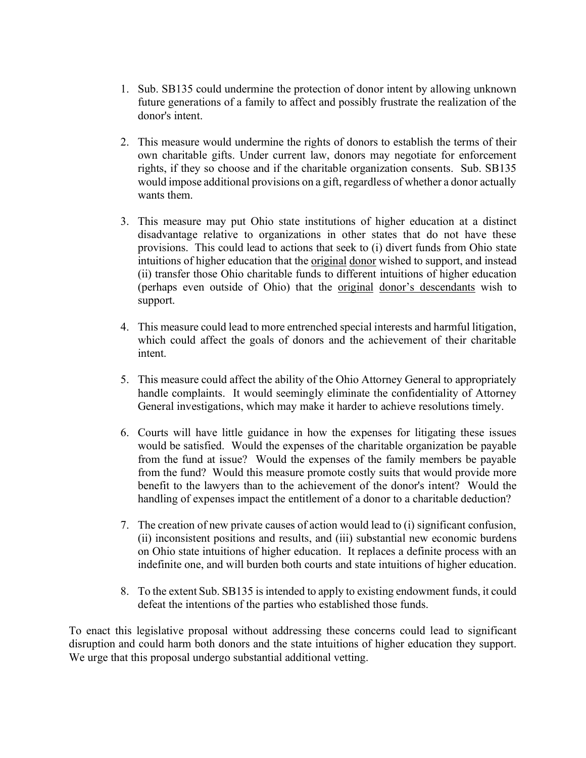- 1. Sub. SB135 could undermine the protection of donor intent by allowing unknown future generations of a family to affect and possibly frustrate the realization of the donor's intent.
- 2. This measure would undermine the rights of donors to establish the terms of their own charitable gifts. Under current law, donors may negotiate for enforcement rights, if they so choose and if the charitable organization consents. Sub. SB135 would impose additional provisions on a gift, regardless of whether a donor actually wants them.
- 3. This measure may put Ohio state institutions of higher education at a distinct disadvantage relative to organizations in other states that do not have these provisions. This could lead to actions that seek to (i) divert funds from Ohio state intuitions of higher education that the original donor wished to support, and instead (ii) transfer those Ohio charitable funds to different intuitions of higher education (perhaps even outside of Ohio) that the original donor's descendants wish to support.
- 4. This measure could lead to more entrenched special interests and harmful litigation, which could affect the goals of donors and the achievement of their charitable intent.
- 5. This measure could affect the ability of the Ohio Attorney General to appropriately handle complaints. It would seemingly eliminate the confidentiality of Attorney General investigations, which may make it harder to achieve resolutions timely.
- 6. Courts will have little guidance in how the expenses for litigating these issues would be satisfied. Would the expenses of the charitable organization be payable from the fund at issue? Would the expenses of the family members be payable from the fund? Would this measure promote costly suits that would provide more benefit to the lawyers than to the achievement of the donor's intent? Would the handling of expenses impact the entitlement of a donor to a charitable deduction?
- 7. The creation of new private causes of action would lead to (i) significant confusion, (ii) inconsistent positions and results, and (iii) substantial new economic burdens on Ohio state intuitions of higher education. It replaces a definite process with an indefinite one, and will burden both courts and state intuitions of higher education.
- 8. To the extent Sub. SB135 is intended to apply to existing endowment funds, it could defeat the intentions of the parties who established those funds.

To enact this legislative proposal without addressing these concerns could lead to significant disruption and could harm both donors and the state intuitions of higher education they support. We urge that this proposal undergo substantial additional vetting.